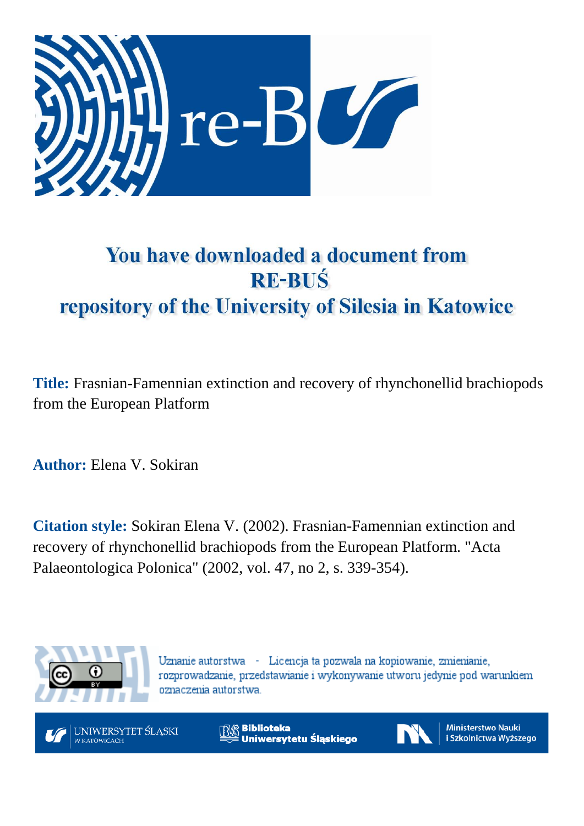

# You have downloaded a document from **RE-BUŚ** repository of the University of Silesia in Katowice

**Title:** Frasnian-Famennian extinction and recovery of rhynchonellid brachiopods from the European Platform

**Author:** Elena V. Sokiran

**Citation style:** Sokiran Elena V. (2002). Frasnian-Famennian extinction and recovery of rhynchonellid brachiopods from the European Platform. "Acta Palaeontologica Polonica" (2002, vol. 47, no 2, s. 339-354).



Uznanie autorstwa - Licencja ta pozwala na kopiowanie, zmienianie, rozprowadzanie, przedstawianie i wykonywanie utworu jedynie pod warunkiem oznaczenia autorstwa.



**Biblioteka** Uniwersytetu Śląskiego



**Ministerstwo Nauki** i Szkolnictwa Wyższego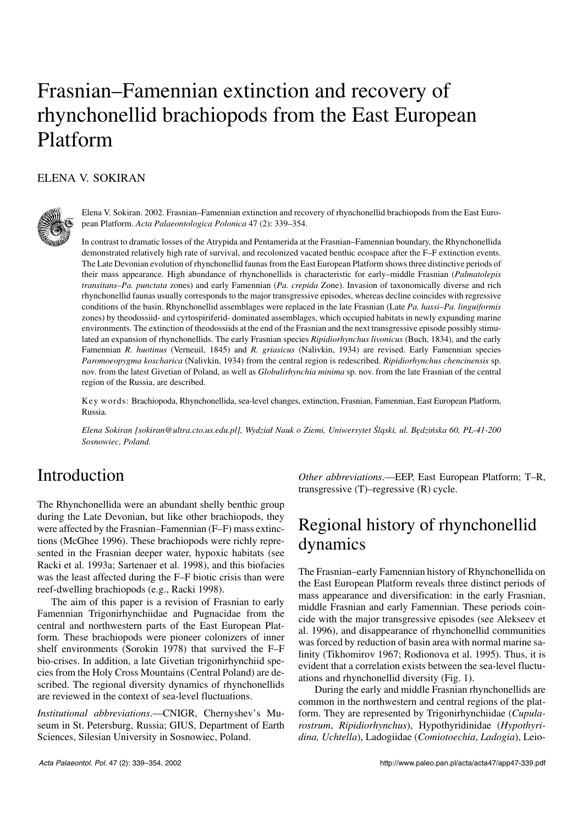# Frasnian–Famennian extinction and recovery of rhynchonellid brachiopods from the East European Platform

### ELENA V. SOKIRAN



Elena V. Sokiran. 2002. Frasnian–Famennian extinction and recovery of rhynchonellid brachiopods from the East Euro− pean Platform. *Acta Palaeontologica Polonica* 47 (2): 339–354.

In contrast to dramatic losses of the Atrypida and Pentamerida at the Frasnian–Famennian boundary, the Rhynchonellida demonstrated relatively high rate of survival, and recolonized vacated benthic ecospace after the F–F extinction events. The Late Devonian evolution of rhynchonellid faunas from the East European Platform shows three distinctive periods of their mass appearance. High abundance of rhynchonellids is characteristic for early–middle Frasnian (*Palmatolepis transitans–Pa. punctata* zones) and early Famennian (*Pa. crepida* Zone). Invasion of taxonomically diverse and rich rhynchonellid faunas usually corresponds to the major transgressive episodes, whereas decline coincides with regressive conditions of the basin. Rhynchonellid assemblages were replaced in the late Frasnian (Late *Pa. hassi–Pa. linguiformis* zones) by theodossiid− and cyrtospiriferid− dominated assemblages, which occupied habitats in newly expanding marine environments. The extinction of theodossiids at the end of the Frasnian and the next transgressive episode possibly stimu− lated an expansion of rhynchonellids. The early Frasnian species *Ripidiorhynchus livonicus* (Buch, 1834), and the early Famennian *R. huotinus* (Verneuil, 1845) and *R. griasicus* (Nalivkin, 1934) are revised. Early Famennian species *Paromoeopygma koscharica* (Nalivkin, 1934) from the central region is redescribed. *Ripidiorhynchus chencinensis* sp. nov. from the latest Givetian of Poland, as well as *Globulirhynchia minima* sp. nov. from the late Frasnian of the central region of the Russia, are described.

Key words: Brachiopoda, Rhynchonellida, sea−level changes, extinction, Frasnian, Famennian, East European Platform, Russia.

*Elena Sokiran [sokiran@ultra.cto.us.edu.pl], Wydział Nauk o Ziemi, Uniwersytet Śląski, ul. Będzińska 60, PL−41−200 Sosnowiec, Poland.*

## Introduction

The Rhynchonellida were an abundant shelly benthic group during the Late Devonian, but like other brachiopods, they were affected by the Frasnian–Famennian (F–F) mass extinc− tions (McGhee 1996). These brachiopods were richly repre− sented in the Frasnian deeper water, hypoxic habitats (see Racki et al. 1993a; Sartenaer et al. 1998), and this biofacies was the least affected during the F–F biotic crisis than were reef−dwelling brachiopods (e.g., Racki 1998).

The aim of this paper is a revision of Frasnian to early Famennian Trigonirhynchiidae and Pugnacidae from the central and northwestern parts of the East European Plat− form. These brachiopods were pioneer colonizers of inner shelf environments (Sorokin 1978) that survived the F–F bio−crises. In addition, a late Givetian trigonirhynchiid spe− cies from the Holy Cross Mountains (Central Poland) are de− scribed. The regional diversity dynamics of rhynchonellids are reviewed in the context of sea−level fluctuations.

*Institutional abbreviations*.—CNIGR, Chernyshev's Mu− seum in St. Petersburg, Russia; GIUS, Department of Earth Sciences, Silesian University in Sosnowiec, Poland.

*Other abbreviations*.—EEP, East European Platform; T–R, transgressive (T)–regressive (R) cycle.

## Regional history of rhynchonellid dynamics

The Frasnian–early Famennian history of Rhynchonellida on the East European Platform reveals three distinct periods of mass appearance and diversification: in the early Frasnian, middle Frasnian and early Famennian. These periods coin− cide with the major transgressive episodes (see Alekseev et al. 1996), and disappearance of rhynchonellid communities was forced by reduction of basin area with normal marine sa− linity (Tikhomirov 1967; Rodionova et al. 1995). Thus, it is evident that a correlation exists between the sea−level fluctu− ations and rhynchonellid diversity (Fig. 1).

During the early and middle Frasnian rhynchonellids are common in the northwestern and central regions of the plat− form. They are represented by Trigonirhynchiidae (*Cupula− rostrum*, *Ripidiorhynchus*), Hypothyridinidae (*Hypothyri− dina, Uchtella*), Ladogiidae (*Comiotoechia*, *Ladogia*), Leio−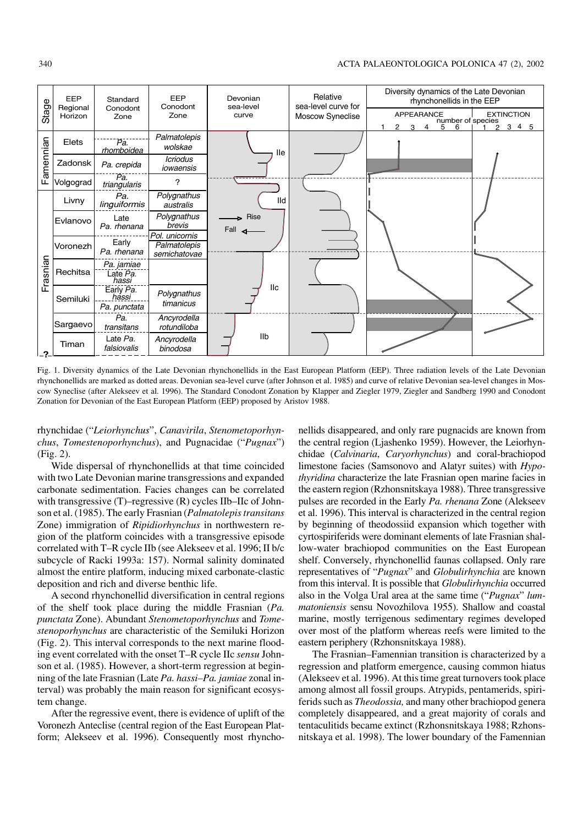

Fig. 1. Diversity dynamics of the Late Devonian rhynchonellids in the East European Platform (EEP). Three radiation levels of the Late Devonian rhynchonellids are marked as dotted areas. Devonian sea−level curve (after Johnson et al. 1985) and curve of relative Devonian sea−level changes in Mos− cow Syneclise (after Alekseev et al. 1996). The Standard Conodont Zonation by Klapper and Ziegler 1979, Ziegler and Sandberg 1990 and Conodont Zonation for Devonian of the East European Platform (EEP) proposed by Aristov 1988.

rhynchidae ("*Leiorhynchus*", *Canavirila*, *Stenometoporhyn− chus*, *Tomestenoporhynchus*), and Pugnacidae ("*Pugnax*") (Fig. 2).

Wide dispersal of rhynchonellids at that time coincided with two Late Devonian marine transgressions and expanded carbonate sedimentation. Facies changes can be correlated with transgressive (T)–regressive (R) cycles IIb–IIc of Johnson et al. (1985). The early Frasnian (*Palmatolepis transitans* Zone) immigration of *Ripidiorhynchus* in northwestern re− gion of the platform coincides with a transgressive episode correlated with T–R cycle IIb (see Alekseev et al. 1996; II b/c subcycle of Racki 1993a: 157). Normal salinity dominated almost the entire platform, inducing mixed carbonate−clastic deposition and rich and diverse benthic life.

A second rhynchonellid diversification in central regions of the shelf took place during the middle Frasnian (*Pa. punctata* Zone). Abundant *Stenometoporhynchus* and *Tome− stenoporhynchus* are characteristic of the Semiluki Horizon (Fig. 2). This interval corresponds to the next marine flood− ing event correlated with the onset T–R cycle IIc *sensu* John− son et al. (1985). However, a short−term regression at begin− ning of the late Frasnian (Late *Pa. hassi–Pa. jamiae* zonal in− terval) was probably the main reason for significant ecosys− tem change.

After the regressive event, there is evidence of uplift of the Voronezh Anteclise (central region of the East European Plat− form; Alekseev et al. 1996). Consequently most rhynchonellids disappeared, and only rare pugnacids are known from the central region (Ljashenko 1959). However, the Leiorhyn− chidae (*Calvinaria*, *Caryorhynchus*) and coral−brachiopod limestone facies (Samsonovo and Alatyr suites) with *Hypo− thyridina* characterize the late Frasnian open marine facies in the eastern region (Rzhonsnitskaya 1988). Three transgressive pulses are recorded in the Early *Pa. rhenana* Zone (Alekseev et al. 1996). This interval is characterized in the central region by beginning of theodossiid expansion which together with cyrtospiriferids were dominant elements of late Frasnian shal− low−water brachiopod communities on the East European shelf. Conversely, rhynchonellid faunas collapsed. Only rare representatives of "*Pugnax*" and *Globulirhynchia* are known from this interval. It is possible that *Globulirhynchia* occurred also in the Volga Ural area at the same time ("*Pugnax*" *lum− matoniensis* sensu Novozhilova 1955). Shallow and coastal marine, mostly terrigenous sedimentary regimes developed over most of the platform whereas reefs were limited to the eastern periphery (Rzhonsnitskaya 1988).

The Frasnian–Famennian transition is characterized by a regression and platform emergence, causing common hiatus (Alekseev et al. 1996). At this time great turnovers took place among almost all fossil groups. Atrypids, pentamerids, spiri− ferids such as *Theodossia,* and many other brachiopod genera completely disappeared, and a great majority of corals and tentaculitids became extinct (Rzhonsnitskaya 1988; Rzhons− nitskaya et al. 1998). The lower boundary of the Famennian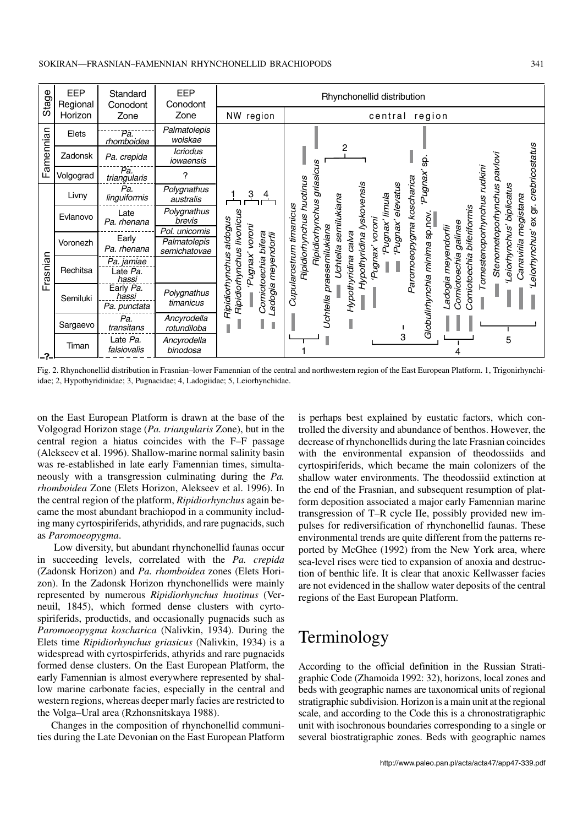

Fig. 2. Rhynchonellid distribution in Frasnian–lower Famennian of the central and northwestern region of the East European Platform. 1, Trigonirhynchi− idae; 2, Hypothyridinidae; 3, Pugnacidae; 4, Ladogiidae; 5, Leiorhynchidae.

on the East European Platform is drawn at the base of the Volgograd Horizon stage (*Pa. triangularis* Zone), but in the central region a hiatus coincides with the F–F passage (Alekseev et al. 1996). Shallow−marine normal salinity basin was re−established in late early Famennian times, simulta− neously with a transgression culminating during the *Pa. rhomboidea* Zone (Elets Horizon, Alekseev et al. 1996). In the central region of the platform, *Ripidiorhynchus* again be− came the most abundant brachiopod in a community includ− ing many cyrtospiriferids, athyridids, and rare pugnacids, such as *Paromoeopygma*.

Low diversity, but abundant rhynchonellid faunas occur in succeeding levels, correlated with the *Pa. crepida* (Zadonsk Horizon) and *Pa. rhomboidea* zones (Elets Hori− zon). In the Zadonsk Horizon rhynchonellids were mainly represented by numerous *Ripidiorhynchus huotinus* (Ver− neuil, 1845), which formed dense clusters with cyrto− spiriferids, productids, and occasionally pugnacids such as *Paromoeopygma koscharica* (Nalivkin, 1934). During the Elets time *Ripidiorhynchus griasicus* (Nalivkin, 1934) is a widespread with cyrtospirferids, athyrids and rare pugnacids formed dense clusters. On the East European Platform, the early Famennian is almost everywhere represented by shal− low marine carbonate facies, especially in the central and western regions, whereas deeper marly facies are restricted to the Volga–Ural area (Rzhonsnitskaya 1988).

Changes in the composition of rhynchonellid communi− ties during the Late Devonian on the East European Platform is perhaps best explained by eustatic factors, which con− trolled the diversity and abundance of benthos. However, the decrease of rhynchonellids during the late Frasnian coincides with the environmental expansion of theodossiids and cyrtospiriferids, which became the main colonizers of the shallow water environments. The theodossiid extinction at the end of the Frasnian, and subsequent resumption of plat− form deposition associated a major early Famennian marine transgression of T–R cycle IIe, possibly provided new im− pulses for rediversification of rhynchonellid faunas. These environmental trends are quite different from the patterns re− ported by McGhee (1992) from the New York area, where sea−level rises were tied to expansion of anoxia and destruc− tion of benthic life. It is clear that anoxic Kellwasser facies are not evidenced in the shallow water deposits of the central regions of the East European Platform.

## Terminology

According to the official definition in the Russian Strati− graphic Code (Zhamoida 1992: 32), horizons, local zones and beds with geographic names are taxonomical units of regional stratigraphic subdivision. Horizon is a main unit at the regional scale, and according to the Code this is a chronostratigraphic unit with isochronous boundaries corresponding to a single or several biostratigraphic zones. Beds with geographic names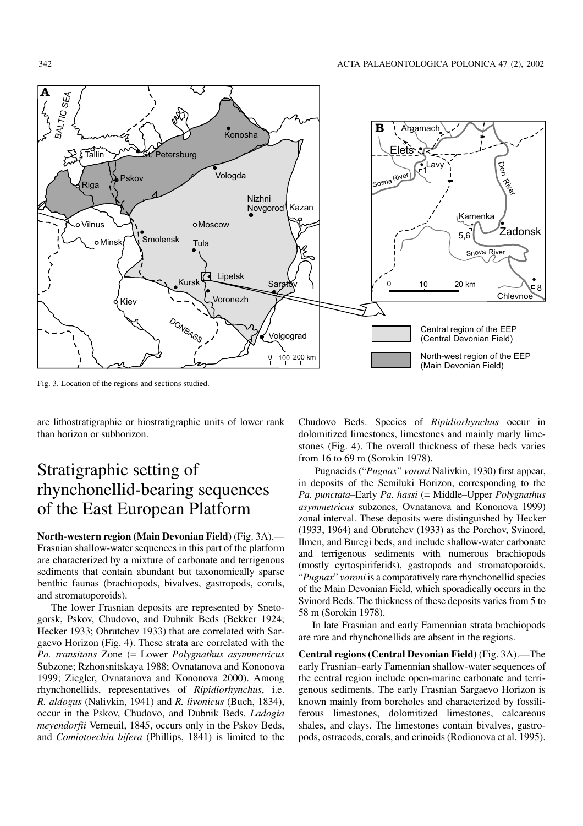

Fig. 3. Location of the regions and sections studied.

are lithostratigraphic or biostratigraphic units of lower rank than horizon or subhorizon.

## Stratigraphic setting of rhynchonellid−bearing sequences of the East European Platform

**North−western region (Main Devonian Field)** (Fig. 3A).— Frasnian shallow−water sequences in this part of the platform are characterized by a mixture of carbonate and terrigenous sediments that contain abundant but taxonomically sparse benthic faunas (brachiopods, bivalves, gastropods, corals, and stromatoporoids).

The lower Frasnian deposits are represented by Sneto− gorsk, Pskov, Chudovo, and Dubnik Beds (Bekker 1924; Hecker 1933; Obrutchev 1933) that are correlated with Sar− gaevo Horizon (Fig. 4). These strata are correlated with the *Pa. transitans* Zone (= Lower *Polygnathus asymmetricus* Subzone; Rzhonsnitskaya 1988; Ovnatanova and Kononova 1999; Ziegler, Ovnatanova and Kononova 2000). Among rhynchonellids, representatives of *Ripidiorhynchus*, i.e. *R. aldogus* (Nalivkin, 1941) and *R. livonicus* (Buch, 1834), occur in the Pskov, Chudovo, and Dubnik Beds. *Ladogia meyendorfii* Verneuil, 1845, occurs only in the Pskov Beds, and *Comiotoechia bifera* (Phillips, 1841) is limited to the Chudovo Beds. Species of *Ripidiorhynchus* occur in dolomitized limestones, limestones and mainly marly lime− stones (Fig. 4). The overall thickness of these beds varies from 16 to 69 m (Sorokin 1978).

Pugnacids ("*Pugnax*" *voroni* Nalivkin, 1930) first appear, in deposits of the Semiluki Horizon, corresponding to the *Pa. punctata*–Early *Pa. hassi* (= Middle–Upper *Polygnathus asymmetricus* subzones, Ovnatanova and Kononova 1999) zonal interval. These deposits were distinguished by Hecker (1933, 1964) and Obrutchev (1933) as the Porchov, Svinord, Ilmen, and Buregi beds, and include shallow−water carbonate and terrigenous sediments with numerous brachiopods (mostly cyrtospiriferids), gastropods and stromatoporoids. "*Pugnax*" *voroni* is a comparatively rare rhynchonellid species of the Main Devonian Field, which sporadically occurs in the Svinord Beds. The thickness of these deposits varies from 5 to 58 m (Sorokin 1978).

In late Frasnian and early Famennian strata brachiopods are rare and rhynchonellids are absent in the regions.

**Central regions (Central Devonian Field)** (Fig. 3A).—The early Frasnian–early Famennian shallow−water sequences of the central region include open−marine carbonate and terri− genous sediments. The early Frasnian Sargaevo Horizon is known mainly from boreholes and characterized by fossili− ferous limestones, dolomitized limestones, calcareous shales, and clays. The limestones contain bivalves, gastro− pods, ostracods, corals, and crinoids (Rodionova et al. 1995).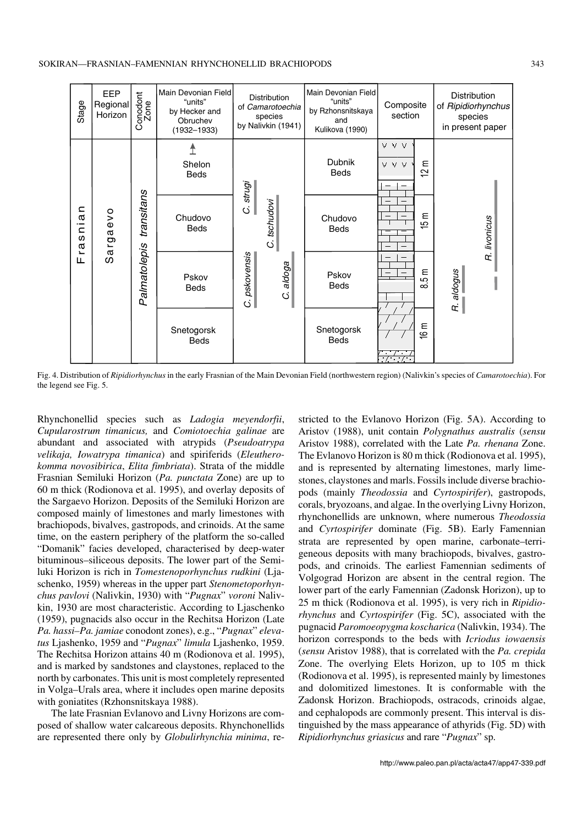

Fig. 4. Distribution of *Ripidiorhynchus* in the early Frasnian of the Main Devonian Field (northwestern region) (Nalivkin's species of *Camarotoechia*). For the legend see Fig. 5.

Rhynchonellid species such as *Ladogia meyendorfii*, *Cupularostrum timanicus,* and *Comiotoechia galinae* are abundant and associated with atrypids (*Pseudoatrypa velikaja, Iowatrypa timanica*) and spiriferids (*Eleuthero− komma novosibirica*, *Elita fimbriata*). Strata of the middle Frasnian Semiluki Horizon (*Pa. punctata* Zone) are up to 60 m thick (Rodionova et al. 1995), and overlay deposits of the Sargaevo Horizon. Deposits of the Semiluki Horizon are composed mainly of limestones and marly limestones with brachiopods, bivalves, gastropods, and crinoids. At the same time, on the eastern periphery of the platform the so−called "Domanik" facies developed, characterised by deep−water bituminous–siliceous deposits. The lower part of the Semi− luki Horizon is rich in *Tomestenoporhynchus rudkini* (Lja− schenko, 1959) whereas in the upper part *Stenometoporhyn− chus pavlovi* (Nalivkin, 1930) with "*Pugnax*" *voroni* Naliv− kin, 1930 are most characteristic. According to Ljaschenko (1959), pugnacids also occur in the Rechitsa Horizon (Late *Pa. hassi–Pa. jamiae* conodont zones), e.g., "*Pugnax*" *eleva− tus* Ljashenko, 1959 and "*Pugnax*" *limula* Ljashenko, 1959. The Rechitsa Horizon attains 40 m (Rodionova et al. 1995), and is marked by sandstones and claystones, replaced to the north by carbonates. This unit is most completely represented in Volga–Urals area, where it includes open marine deposits with goniatites (Rzhonsnitskaya 1988).

The late Frasnian Evlanovo and Livny Horizons are com− posed of shallow water calcareous deposits. Rhynchonellids are represented there only by *Globulirhynchia minima*, re−

stricted to the Evlanovo Horizon (Fig. 5A). According to Aristov (1988), unit contain *Polygnathus australis* (*sensu* Aristov 1988), correlated with the Late *Pa. rhenana* Zone. The Evlanovo Horizon is 80 m thick (Rodionova et al. 1995), and is represented by alternating limestones, marly lime− stones, claystones and marls. Fossils include diverse brachio− pods (mainly *Theodossia* and *Cyrtospirifer*), gastropods, corals, bryozoans, and algae. In the overlying Livny Horizon, rhynchonellids are unknown, where numerous *Theodossia* and *Cyrtospirifer* dominate (Fig. 5B). Early Famennian strata are represented by open marine, carbonate–terri− geneous deposits with many brachiopods, bivalves, gastro− pods, and crinoids. The earliest Famennian sediments of Volgograd Horizon are absent in the central region. The lower part of the early Famennian (Zadonsk Horizon), up to 25 m thick (Rodionova et al. 1995), is very rich in *Ripidio− rhynchus* and *Cyrtospirifer* (Fig. 5C), associated with the pugnacid *Paromoeopygma koscharica* (Nalivkin, 1934). The horizon corresponds to the beds with *Icriodus iowaensis* (*sensu* Aristov 1988), that is correlated with the *Pa. crepida* Zone. The overlying Elets Horizon, up to 105 m thick (Rodionova et al. 1995), is represented mainly by limestones and dolomitized limestones. It is conformable with the Zadonsk Horizon. Brachiopods, ostracods, crinoids algae, and cephalopods are commonly present. This interval is dis− tinguished by the mass appearance of athyrids (Fig. 5D) with *Ripidiorhynchus griasicus* and rare "*Pugnax*" sp.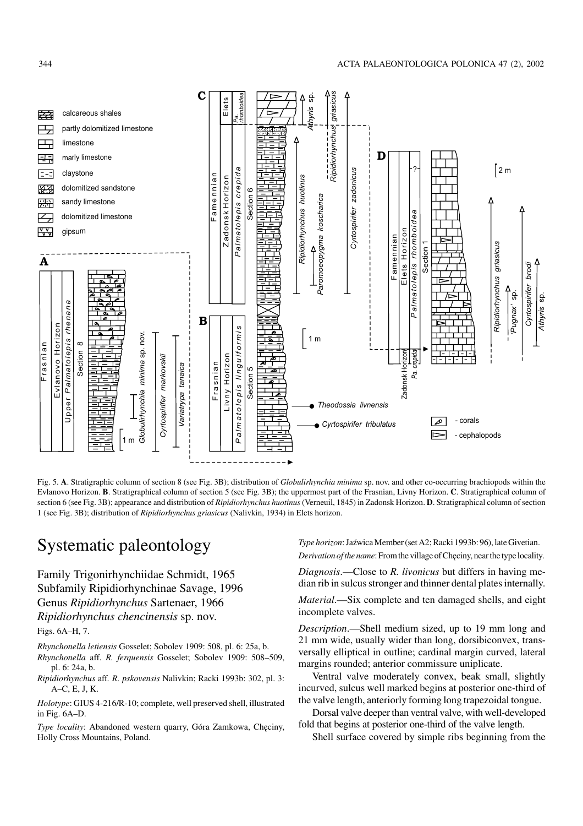

Fig. 5. **A**. Stratigraphic column of section 8 (see Fig. 3B); distribution of *Globulirhynchia minima* sp. nov. and other co−occurring brachiopods within the Evlanovo Horizon. **B**. Stratigraphical column of section 5 (see Fig. 3B); the uppermost part of the Frasnian, Livny Horizon. **C**. Stratigraphical column of section 6 (see Fig. 3B); appearance and distribution of *Ripidiorhynchus huotinus*(Verneuil, 1845) in Zadonsk Horizon. **D**. Stratigraphical column of section 1 (see Fig. 3B); distribution of *Ripidiorhynchus griasicus* (Nalivkin, 1934) in Elets horizon.

## Systematic paleontology

Family Trigonirhynchiidae Schmidt, 1965 Subfamily Ripidiorhynchinae Savage, 1996 Genus *Ripidiorhynchus* Sartenaer, 1966 *Ripidiorhynchus chencinensis* sp. nov.

Figs. 6A–H, 7.

*Rhynchonella letiensis* Gosselet; Sobolev 1909: 508, pl. 6: 25a, b.

- *Rhynchonella* aff. *R. ferquensis* Gosselet; Sobolev 1909: 508–509, pl. 6: 24a, b.
- *Ripidiorhynchus* aff*. R. pskovensis* Nalivkin; Racki 1993b: 302, pl. 3: A–C, E, J, K.

*Holotype*: GIUS 4−216/R−10; complete, well preserved shell, illustrated in Fig. 6A–D.

*Type locality*: Abandoned western quarry, Góra Zamkowa, Chęciny, Holly Cross Mountains, Poland.

*Type horizon*: Jaźwica Member (set A2; Racki 1993b: 96), late Givetian.

*Derivation of the name*: From the village of Chęciny, near the type locality.

*Diagnosis*.—Close to *R. livonicus* but differs in having me− dian rib in sulcus stronger and thinner dental plates internally.

*Material*.—Six complete and ten damaged shells, and eight incomplete valves.

*Description*.—Shell medium sized, up to 19 mm long and 21 mm wide, usually wider than long, dorsibiconvex, trans− versally elliptical in outline; cardinal margin curved, lateral margins rounded; anterior commissure uniplicate.

Ventral valve moderately convex, beak small, slightly incurved, sulcus well marked begins at posterior one−third of the valve length, anteriorly forming long trapezoidal tongue.

Dorsal valve deeper than ventral valve, with well−developed fold that begins at posterior one−third of the valve length.

Shell surface covered by simple ribs beginning from the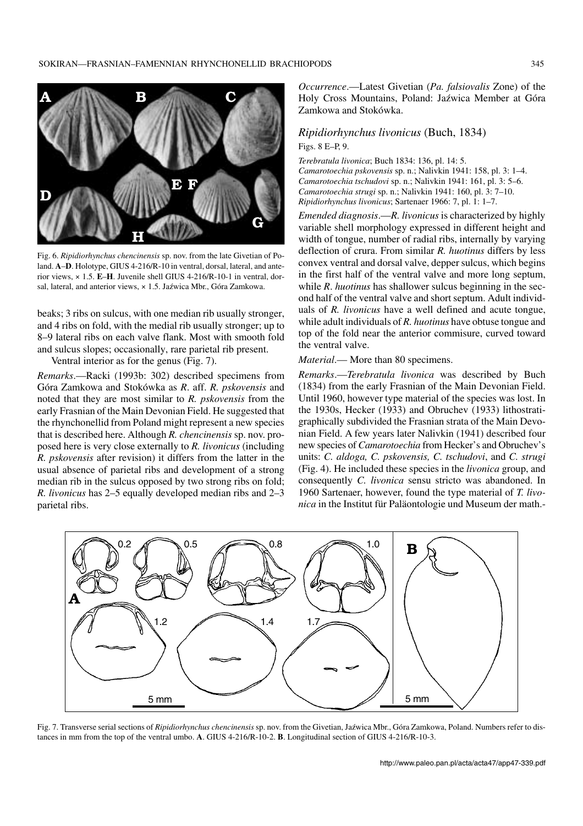

Fig. 6. *Ripidiorhynchus chencinensis* sp. nov. from the late Givetian of Po− land. **A**–**D**. Holotype, GIUS 4−216/R−10 in ventral, dorsal, lateral, and ante− rior views, × 1.5. **E**–**H**. Juvenile shell GIUS 4−216/R−10−1 in ventral, dor− sal, lateral, and anterior views, × 1.5. Jaźwica Mbr., Góra Zamkowa.

beaks; 3 ribs on sulcus, with one median rib usually stronger, and 4 ribs on fold, with the medial rib usually stronger; up to 8–9 lateral ribs on each valve flank. Most with smooth fold and sulcus slopes; occasionally, rare parietal rib present.

Ventral interior as for the genus (Fig. 7).

*Remarks*.—Racki (1993b: 302) described specimens from Góra Zamkowa and Stokówka as *R*. aff. *R. pskovensis* and noted that they are most similar to *R. pskovensis* from the early Frasnian of the Main Devonian Field. He suggested that the rhynchonellid from Poland might represent a new species that is described here. Although *R. chencinensis* sp. nov. pro− posed here is very close externally to *R. livonicus* (including *R. pskovensis* after revision) it differs from the latter in the usual absence of parietal ribs and development of a strong median rib in the sulcus opposed by two strong ribs on fold; *R. livonicus* has 2–5 equally developed median ribs and 2–3 parietal ribs.

*Occurrence*.—Latest Givetian (*Pa. falsiovalis* Zone) of the Holy Cross Mountains, Poland: Jaźwica Member at Góra Zamkowa and Stokówka.

#### *Ripidiorhynchus livonicus* (Buch, 1834) Figs. 8 E–P, 9.

*Terebratula livonica*; Buch 1834: 136, pl. 14: 5. *Camarotoechia pskovensis* sp. n.; Nalivkin 1941: 158, pl. 3: 1–4. *Camarotoechia tschudovi* sp. n.; Nalivkin 1941: 161, pl. 3: 5–6. *Camarotoechia strugi* sp. n.; Nalivkin 1941: 160, pl. 3: 7–10. *Ripidiorhynchus livonicus*; Sartenaer 1966: 7, pl. 1: 1–7.

*Emended diagnosis*.—*R. livonicus* is characterized by highly variable shell morphology expressed in different height and width of tongue, number of radial ribs, internally by varying deflection of crura. From similar *R. huotinus* differs by less convex ventral and dorsal valve, depper sulcus, which begins in the first half of the ventral valve and more long septum, while *R*. *huotinus* has shallower sulcus beginning in the sec− ond half of the ventral valve and short septum. Adult individ− uals of *R. livonicus* have a well defined and acute tongue, while adult individuals of *R. huotinus* have obtuse tongue and top of the fold near the anterior commisure, curved toward the ventral valve.

#### *Material*.— More than 80 specimens.

*Remarks*.—*Terebratula livonica* was described by Buch (1834) from the early Frasnian of the Main Devonian Field. Until 1960, however type material of the species was lost. In the 1930s, Hecker (1933) and Obruchev (1933) lithostrati− graphically subdivided the Frasnian strata of the Main Devo− nian Field. A few years later Nalivkin (1941) described four new species of *Camarotoechia* from Hecker's and Obruchev's units: *C. aldoga, C. pskovensis, C. tschudovi*, and *C. strugi* (Fig. 4). He included these species in the *livonica* group, and consequently *C. livonica* sensu stricto was abandoned. In 1960 Sartenaer, however, found the type material of *T. livo− nica* in the Institut für Paläontologie und Museum der math.−



Fig. 7. Transverse serial sections of *Ripidiorhynchus chencinensis* sp. nov. from the Givetian, Jaźwica Mbr., Góra Zamkowa, Poland. Numbers refer to dis− tances in mm from the top of the ventral umbo. **A**. GIUS 4−216/R−10−2. **B**. Longitudinal section of GIUS 4−216/R−10−3.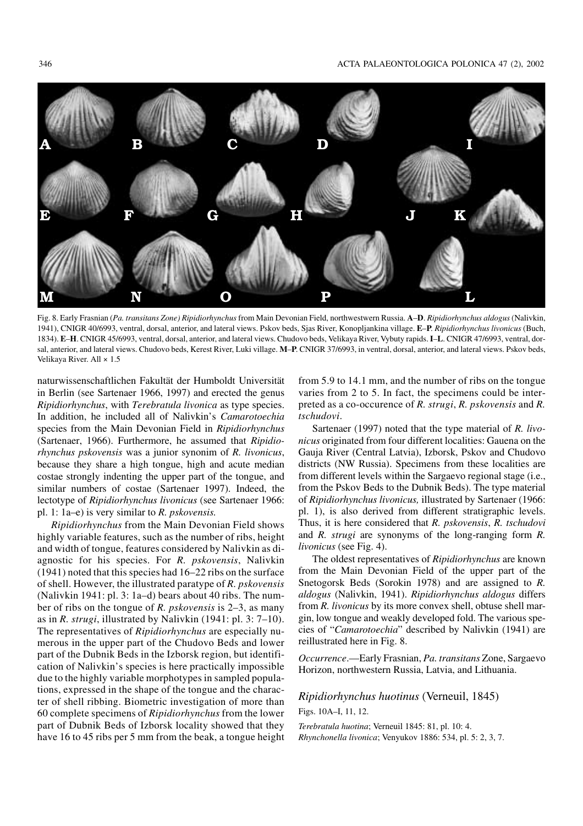

Fig. 8. Early Frasnian (*Pa. transitans Zone) Ripidiorhynchus* from Main Devonian Field, northwestwern Russia. **A**–**D**. *Ripidiorhynchus aldogus* (Nalivkin, 1941), CNIGR 40/6993, ventral, dorsal, anterior, and lateral views. Pskov beds, Sjas River, Konopljankina village. **E**–**P**. *Ripidiorhynchus livonicus* (Buch, 1834). **E**–**H**. CNIGR 45/6993, ventral, dorsal, anterior, and lateral views. Chudovo beds, Velikaya River, Vybuty rapids.**I**–**L**. CNIGR 47/6993, ventral, dor− sal, anterior, and lateral views. Chudovo beds, Kerest River, Luki village. **M**–**P**. CNIGR 37/6993, in ventral, dorsal, anterior, and lateral views. Pskov beds, Velikaya River. All × 1.5

naturwissenschaftlichen Fakultät der Humboldt Universität in Berlin (see Sartenaer 1966, 1997) and erected the genus *Ripidiorhynchus*, with *Terebratula livonica* as type species. In addition, he included all of Nalivkin's *Camarotoechia* species from the Main Devonian Field in *Ripidiorhynchus* (Sartenaer, 1966). Furthermore, he assumed that *Ripidio− rhynchus pskovensis* was a junior synonim of *R. livonicus*, because they share a high tongue, high and acute median costae strongly indenting the upper part of the tongue, and similar numbers of costae (Sartenaer 1997). Indeed, the lectotype of *Ripidiorhynchus livonicus* (see Sartenaer 1966: pl. 1: 1a–e) is very similar to *R. pskovensis.*

*Ripidiorhynchus* from the Main Devonian Field shows highly variable features, such as the number of ribs, height and width of tongue, features considered by Nalivkin as di− agnostic for his species. For *R. pskovensis*, Nalivkin (1941) noted that this species had 16–22 ribs on the surface of shell. However, the illustrated paratype of *R. pskovensis* (Nalivkin 1941: pl. 3: 1a–d) bears about 40 ribs. The num− ber of ribs on the tongue of *R. pskovensis* is 2–3, as many as in *R. strugi*, illustrated by Nalivkin (1941: pl. 3: 7–10). The representatives of *Ripidiorhynchus* are especially nu− merous in the upper part of the Chudovo Beds and lower part of the Dubnik Beds in the Izborsk region, but identifi− cation of Nalivkin's species is here practically impossible due to the highly variable morphotypes in sampled popula− tions, expressed in the shape of the tongue and the charac− ter of shell ribbing. Biometric investigation of more than 60 complete specimens of *Ripidiorhynchus* from the lower part of Dubnik Beds of Izborsk locality showed that they have 16 to 45 ribs per 5 mm from the beak, a tongue height

from 5.9 to 14.1 mm, and the number of ribs on the tongue varies from 2 to 5. In fact, the specimens could be inter− preted as a co−occurence of *R. strugi*, *R. pskovensis* and *R. tschudovi*.

Sartenaer (1997) noted that the type material of *R. livo− nicus* originated from four different localities: Gauena on the Gauja River (Central Latvia), Izborsk, Pskov and Chudovo districts (NW Russia). Specimens from these localities are from different levels within the Sargaevo regional stage (i.e., from the Pskov Beds to the Dubnik Beds). The type material of *Ripidiorhynchus livonicus,* illustrated by Sartenaer (1966: pl. 1), is also derived from different stratigraphic levels. Thus, it is here considered that *R. pskovensis*, *R. tschudovi* and *R. strugi* are synonyms of the long−ranging form *R. livonicus* (see Fig. 4).

The oldest representatives of *Ripidiorhynchus* are known from the Main Devonian Field of the upper part of the Snetogorsk Beds (Sorokin 1978) and are assigned to *R. aldogus* (Nalivkin, 1941). *Ripidiorhynchus aldogus* differs from *R. livonicus* by its more convex shell, obtuse shell mar− gin, low tongue and weakly developed fold. The various spe− cies of "*Camarotoechia*" described by Nalivkin (1941) are reillustrated here in Fig. 8.

*Occurrence*.—Early Frasnian, *Pa. transitans* Zone, Sargaevo Horizon, northwestern Russia, Latvia, and Lithuania.

### *Ripidiorhynchus huotinus* (Verneuil, 1845)

Figs. 10A–I, 11, 12.

*Terebratula huotina*; Verneuil 1845: 81, pl. 10: 4. *Rhynchonella livonica*; Venyukov 1886: 534, pl. 5: 2, 3, 7.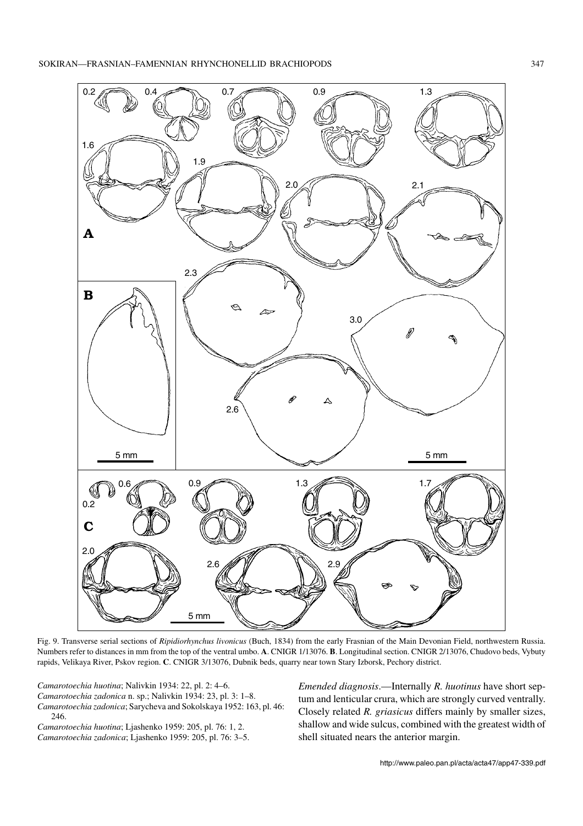

Fig. 9. Transverse serial sections of *Ripidiorhynchus livonicus* (Buch, 1834) from the early Frasnian of the Main Devonian Field, northwestern Russia. Numbers refer to distances in mm from the top of the ventral umbo. **A**. CNIGR 1/13076. **B**. Longitudinal section. CNIGR 2/13076, Chudovo beds, Vybuty rapids, Velikaya River, Pskov region. **C**. CNIGR 3/13076, Dubnik beds, quarry near town Stary Izborsk, Pechory district.

*Camarotoechia huotina*; Nalivkin 1934: 22, pl. 2: 4–6. *Camarotoechia zadonica* n. sp.; Nalivkin 1934: 23, pl. 3: 1–8. *Camarotoechia zadonica*; Sarycheva and Sokolskaya 1952: 163, pl. 46: 246.

*Camarotoechia huotina*; Ljashenko 1959: 205, pl. 76: 1, 2. *Camarotoechia zadonica*; Ljashenko 1959: 205, pl. 76: 3–5. *Emended diagnosis*.—Internally *R. huotinus* have short sep− tum and lenticular crura, which are strongly curved ventrally. Closely related *R. griasicus* differs mainly by smaller sizes, shallow and wide sulcus, combined with the greatest width of shell situated nears the anterior margin.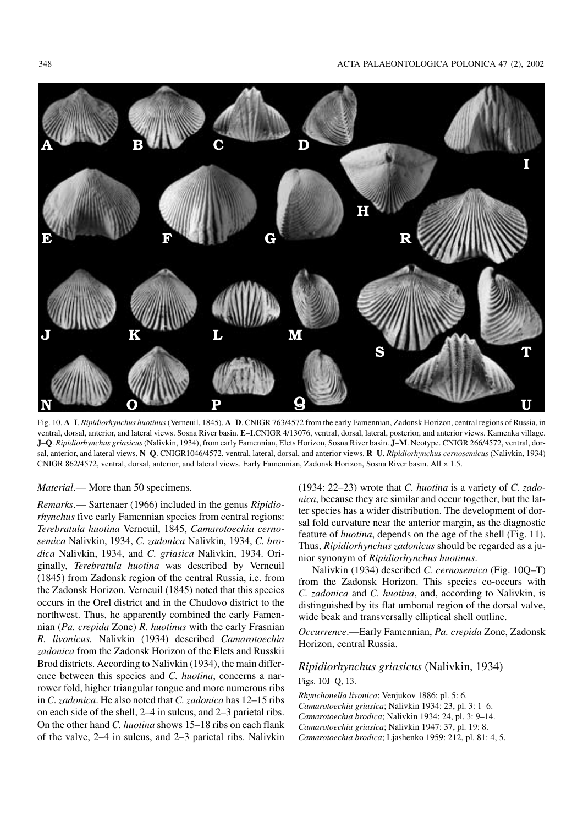

Fig. 10. **A**–**I**. *Ripidiorhynchus huotinus*(Verneuil, 1845). **A**–**D**. CNIGR 763/4572 from the early Famennian, Zadonsk Horizon, central regions of Russia, in ventral, dorsal, anterior, and lateral views. Sosna River basin. **E**–**I**.CNIGR 4/13076, ventral, dorsal, lateral, posterior, and anterior views. Kamenka village. **J**–**Q**. *Ripidiorhynchus griasicus*(Nalivkin, 1934), from early Famennian, Elets Horizon, Sosna River basin. **J**–**M**. Neotype. CNIGR 266/4572, ventral, dor− sal, anterior, and lateral views. **N**–**Q**. CNIGR1046/4572, ventral, lateral, dorsal, and anterior views. **R**–**U**. *Ripidiorhynchus cernosemicus* (Nalivkin, 1934) CNIGR 862/4572, ventral, dorsal, anterior, and lateral views. Early Famennian, Zadonsk Horizon, Sosna River basin. All × 1.5.

*Material*.— More than 50 specimens.

*Remarks*.— Sartenaer (1966) included in the genus *Ripidio− rhynchus* five early Famennian species from central regions: *Terebratula huotina* Verneuil, 1845, *Camarotoechia cerno− semica* Nalivkin, 1934, *C. zadonica* Nalivkin, 1934, *C. bro− dica* Nalivkin, 1934, and *C. griasica* Nalivkin, 1934. Ori− ginally, *Terebratula huotina* was described by Verneuil (1845) from Zadonsk region of the central Russia, i.e. from the Zadonsk Horizon. Verneuil (1845) noted that this species occurs in the Orel district and in the Chudovo district to the northwest. Thus, he apparently combined the early Famen− nian (*Pa. crepida* Zone) *R. huotinus* with the early Frasnian *R. livonicus.* Nalivkin (1934) described *Camarotoechia zadonica* from the Zadonsk Horizon of the Elets and Russkii Brod districts. According to Nalivkin (1934), the main differ− ence between this species and *C. huotina*, concerns a nar− rower fold, higher triangular tongue and more numerous ribs in *C. zadonica*. He also noted that *C. zadonica* has 12–15 ribs on each side of the shell, 2–4 in sulcus, and 2–3 parietal ribs. On the other hand *C. huotina* shows 15–18 ribs on each flank of the valve, 2–4 in sulcus, and 2–3 parietal ribs. Nalivkin (1934: 22–23) wrote that *C. huotina* is a variety of *C. zado− nica*, because they are similar and occur together, but the lat− ter species has a wider distribution. The development of dor− sal fold curvature near the anterior margin, as the diagnostic feature of *huotina*, depends on the age of the shell (Fig. 11). Thus, *Ripidiorhynchus zadonicus* should be regarded as a ju− nior synonym of *Ripidiorhynchus huotinus*.

Nalivkin (1934) described *C. cernosemica* (Fig. 10Q–T) from the Zadonsk Horizon. This species co−occurs with *C. zadonica* and *C. huotina*, and, according to Nalivkin, is distinguished by its flat umbonal region of the dorsal valve, wide beak and transversally elliptical shell outline.

*Occurrence*.—Early Famennian, *Pa. crepida* Zone, Zadonsk Horizon, central Russia.

### *Ripidiorhynchus griasicus* (Nalivkin, 1934) Figs. 10J–Q, 13.

*Rhynchonella livonica*; Venjukov 1886: pl. 5: 6. *Camarotoechia griasica*; Nalivkin 1934: 23, pl. 3: 1–6. *Camarotoechia brodica*; Nalivkin 1934: 24, pl. 3: 9–14. *Camarotoechia griasica*; Nalivkin 1947: 37, pl. 19: 8. *Camarotoechia brodica*; Ljashenko 1959: 212, pl. 81: 4, 5.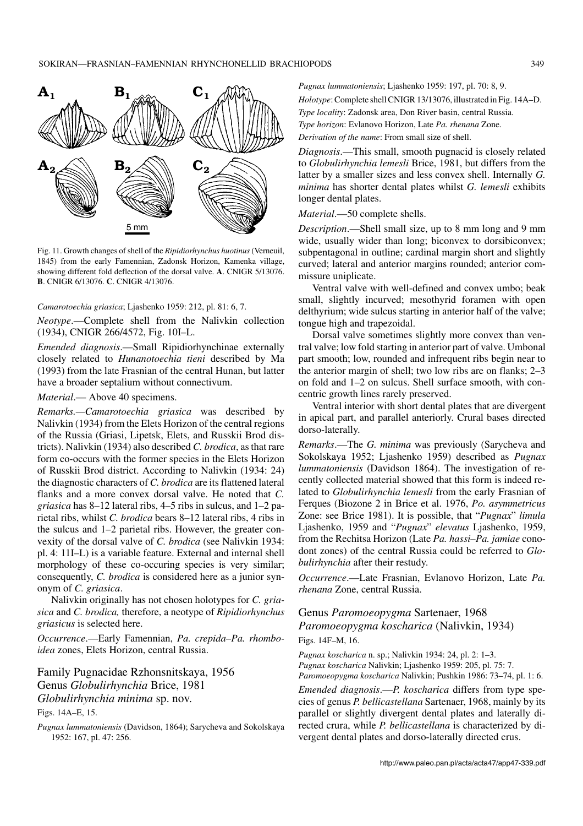

Fig. 11. Growth changes of shell of the *Ripidiorhynchus huotinus*(Verneuil, 1845) from the early Famennian, Zadonsk Horizon, Kamenka village, showing different fold deflection of the dorsal valve. **A**. CNIGR 5/13076. **B**. CNIGR 6/13076. **C**. CNIGR 4/13076.

#### *Camarotoechia griasica*; Ljashenko 1959: 212, pl. 81: 6, 7.

*Neotype*.—Complete shell from the Nalivkin collection (1934), CNIGR 266/4572, Fig. 10I–L.

*Emended diagnosis*.—Small Ripidiorhynchinae externally closely related to *Hunanotoechia tieni* described by Ma (1993) from the late Frasnian of the central Hunan, but latter have a broader septalium without connectivum.

#### *Material*.— Above 40 specimens.

*Remarks.—Camarotoechia griasica* was described by Nalivkin (1934) from the Elets Horizon of the central regions of the Russia (Griasi, Lipetsk, Elets, and Russkii Brod dis− tricts). Nalivkin (1934) also described *C. brodica*, as that rare form co−occurs with the former species in the Elets Horizon of Russkii Brod district. According to Nalivkin (1934: 24) the diagnostic characters of *C. brodica* are its flattened lateral flanks and a more convex dorsal valve. He noted that *C. griasica* has 8–12 lateral ribs, 4–5 ribs in sulcus, and 1–2 pa− rietal ribs, whilst *C. brodica* bears 8–12 lateral ribs, 4 ribs in the sulcus and 1–2 parietal ribs. However, the greater con− vexity of the dorsal valve of *C. brodica* (see Nalivkin 1934: pl. 4: 11I–L) is a variable feature. External and internal shell morphology of these co−occuring species is very similar; consequently, *C. brodica* is considered here as a junior syn− onym of *C. griasica*.

Nalivkin originally has not chosen holotypes for *C. gria− sica* and *C. brodica,* therefore, a neotype of *Ripidiorhynchus griasicus* is selected here.

*Occurrence*.—Early Famennian, *Pa. crepida–Pa. rhombo− idea* zones, Elets Horizon, central Russia.

Family Pugnacidae Rzhonsnitskaya, 1956 Genus *Globulirhynchia* Brice, 1981 *Globulirhynchia minima* sp. nov.

Figs. 14A–E, 15.

*Pugnax lummatoniensis* (Davidson, 1864); Sarycheva and Sokolskaya 1952: 167, pl. 47: 256.

*Pugnax lummatoniensis*; Ljashenko 1959: 197, pl. 70: 8, 9.

*Holotype*: Complete shell CNIGR 13/13076, illustrated in Fig. 14A–D.

*Type locality*: Zadonsk area, Don River basin, central Russia.

*Type horizon*: Evlanovo Horizon, Late *Pa. rhenana* Zone.

*Derivation of the name*: From small size of shell.

*Diagnosis*.—This small, smooth pugnacid is closely related to *Globulirhynchia lemesli* Brice, 1981, but differs from the latter by a smaller sizes and less convex shell. Internally *G. minima* has shorter dental plates whilst *G. lemesli* exhibits longer dental plates.

#### *Material*.—50 complete shells.

*Description*.—Shell small size, up to 8 mm long and 9 mm wide, usually wider than long; biconvex to dorsibiconvex; subpentagonal in outline; cardinal margin short and slightly curved; lateral and anterior margins rounded; anterior com− missure uniplicate.

Ventral valve with well−defined and convex umbo; beak small, slightly incurved; mesothyrid foramen with open delthyrium; wide sulcus starting in anterior half of the valve; tongue high and trapezoidal.

Dorsal valve sometimes slightly more convex than ven− tral valve; low fold starting in anterior part of valve. Umbonal part smooth; low, rounded and infrequent ribs begin near to the anterior margin of shell; two low ribs are on flanks; 2–3 on fold and 1–2 on sulcus. Shell surface smooth, with con− centric growth lines rarely preserved.

Ventral interior with short dental plates that are divergent in apical part, and parallel anteriorly. Crural bases directed dorso−laterally.

*Remarks*.—The *G. minima* was previously (Sarycheva and Sokolskaya 1952; Ljashenko 1959) described as *Pugnax lummatoniensis* (Davidson 1864). The investigation of re− cently collected material showed that this form is indeed re− lated to *Globulirhynchia lemesli* from the early Frasnian of Ferques (Biozone 2 in Brice et al. 1976, *Po. asymmetricus* Zone: see Brice 1981). It is possible, that "*Pugnax*" *limula* Ljashenko, 1959 and "*Pugnax*" *elevatus* Ljashenko, 1959, from the Rechitsa Horizon (Late *Pa. hassi–Pa. jamiae* cono− dont zones) of the central Russia could be referred to *Glo− bulirhynchia* after their restudy.

*Occurrence*.—Late Frasnian, Evlanovo Horizon, Late *Pa. rhenana* Zone, central Russia.

### Genus *Paromoeopygma* Sartenaer, 1968 *Paromoeopygma koscharica* (Nalivkin, 1934) Figs. 14F–M, 16.

*Pugnax koscharica* n. sp.; Nalivkin 1934: 24, pl. 2: 1–3. *Pugnax koscharica* Nalivkin; Ljashenko 1959: 205, pl. 75: 7. *Paromoeopygma koscharica* Nalivkin; Pushkin 1986: 73–74, pl. 1: 6.

*Emended diagnosis*.—*P. koscharica* differs from type spe− cies of genus *P. bellicastellana* Sartenaer, 1968, mainly by its parallel or slightly divergent dental plates and laterally di− rected crura, while *P. bellicastellana* is characterized by di− vergent dental plates and dorso−laterally directed crus.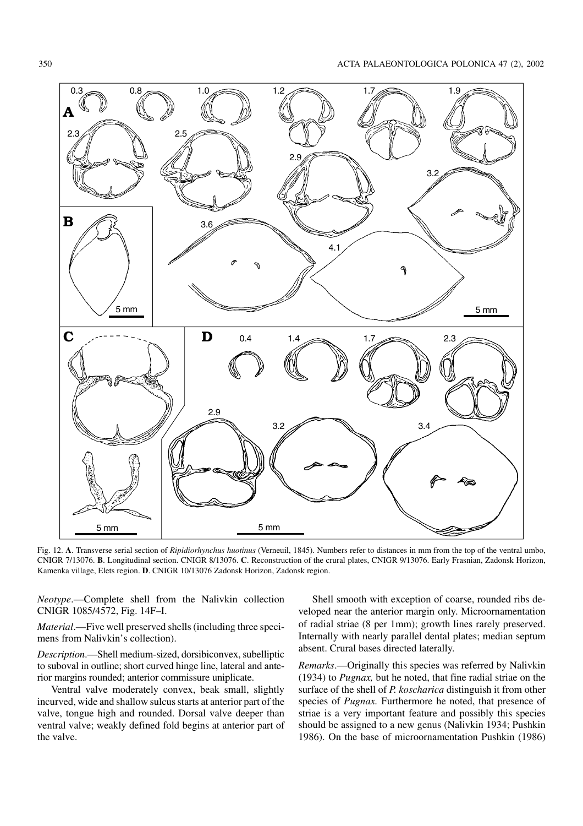

Fig. 12. **A**. Transverse serial section of *Ripidiorhynchus huotinus* (Verneuil, 1845). Numbers refer to distances in mm from the top of the ventral umbo, CNIGR 7/13076. **B**. Longitudinal section. CNIGR 8/13076. **C**. Reconstruction of the crural plates, CNIGR 9/13076. Early Frasnian, Zadonsk Horizon, Kamenka village, Elets region. **D**. CNIGR 10/13076 Zadonsk Horizon, Zadonsk region.

*Neotype*.—Complete shell from the Nalivkin collection CNIGR 1085/4572, Fig. 14F–I.

*Material*.—Five well preserved shells (including three speci− mens from Nalivkin's collection).

*Description*.—Shell medium−sized, dorsibiconvex, subelliptic to suboval in outline; short curved hinge line, lateral and ante− rior margins rounded; anterior commissure uniplicate.

Ventral valve moderately convex, beak small, slightly incurved, wide and shallow sulcus starts at anterior part of the valve, tongue high and rounded. Dorsal valve deeper than ventral valve; weakly defined fold begins at anterior part of the valve.

Shell smooth with exception of coarse, rounded ribs de− veloped near the anterior margin only. Microornamentation of radial striae (8 per 1mm); growth lines rarely preserved. Internally with nearly parallel dental plates; median septum absent. Crural bases directed laterally.

*Remarks*.—Originally this species was referred by Nalivkin (1934) to *Pugnax,* but he noted, that fine radial striae on the surface of the shell of *P. koscharica* distinguish it from other species of *Pugnax.* Furthermore he noted, that presence of striae is a very important feature and possibly this species should be assigned to a new genus (Nalivkin 1934; Pushkin 1986). On the base of microornamentation Pushkin (1986)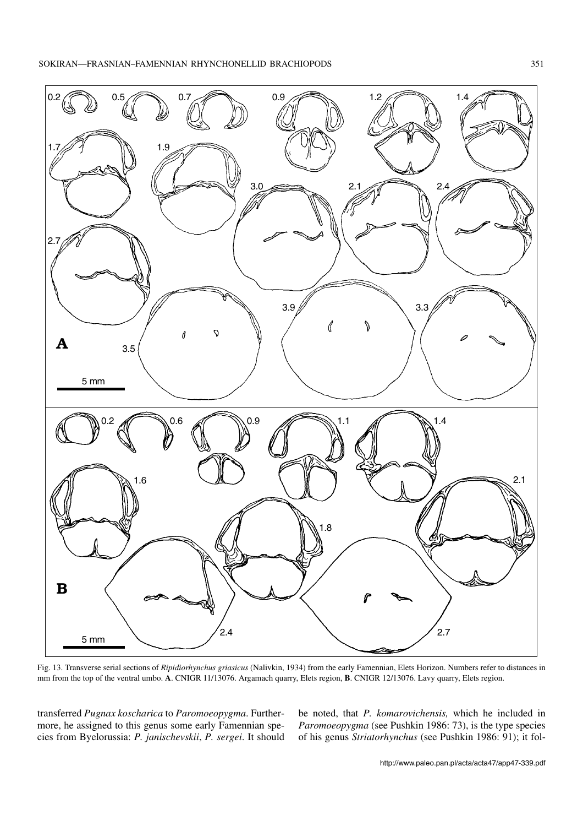

Fig. 13. Transverse serial sections of *Ripidiorhynchus griasicus* (Nalivkin, 1934) from the early Famennian, Elets Horizon. Numbers refer to distances in mm from the top of the ventral umbo. **A**. CNIGR 11/13076. Argamach quarry, Elets region, **B**. CNIGR 12/13076. Lavy quarry, Elets region.

transferred *Pugnax koscharica* to *Paromoeopygma*. Further− more, he assigned to this genus some early Famennian spe− cies from Byelorussia: *P. janischevskii*, *P. sergei*. It should be noted, that *P. komarovichensis,* which he included in *Paromoeopygma* (see Pushkin 1986: 73), is the type species of his genus *Striatorhynchus* (see Pushkin 1986: 91); it fol−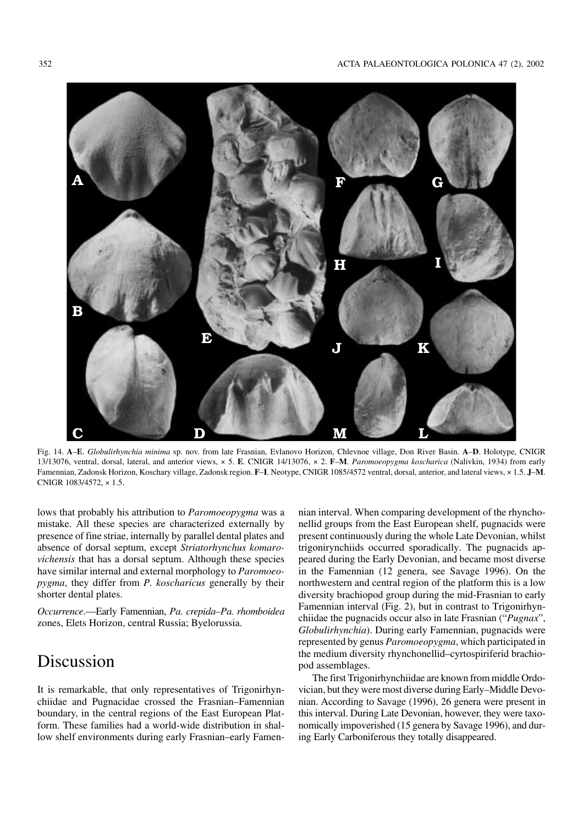

Fig. 14. **A**–**E**. *Globulirhynchia minima* sp. nov. from late Frasnian, Evlanovo Horizon, Chlevnoe village, Don River Basin. **A**–**D**. Holotype, CNIGR 13/13076, ventral, dorsal, lateral, and anterior views, × 5. **E**. CNIGR 14/13076, × 2. **F**–**M**. *Paromoeopygma koscharica* (Nalivkin, 1934) from early Famennian, Zadonsk Horizon, Koschary village, Zadonsk region. **F**–**I**. Neotype, CNIGR 1085/4572 ventral, dorsal, anterior, and lateral views, × 1.5. **J**–**M**. CNIGR 1083/4572, × 1.5.

lows that probably his attribution to *Paromoeopygma* was a mistake. All these species are characterized externally by presence of fine striae, internally by parallel dental plates and absence of dorsal septum, except *Striatorhynchus komaro− vichensis* that has a dorsal septum. Although these species have similar internal and external morphology to *Paromoeo− pygma*, they differ from *P. koscharicus* generally by their shorter dental plates.

*Occurrence*.—Early Famennian, *Pa. crepida–Pa. rhomboidea* zones, Elets Horizon, central Russia; Byelorussia.

## Discussion

It is remarkable, that only representatives of Trigonirhyn− chiidae and Pugnacidae crossed the Frasnian–Famennian boundary, in the central regions of the East European Plat− form. These families had a world−wide distribution in shal− low shelf environments during early Frasnian–early Famen−

nian interval. When comparing development of the rhyncho− nellid groups from the East European shelf, pugnacids were present continuously during the whole Late Devonian, whilst trigonirynchiids occurred sporadically. The pugnacids ap− peared during the Early Devonian, and became most diverse in the Famennian (12 genera, see Savage 1996). On the northwestern and central region of the platform this is a low diversity brachiopod group during the mid−Frasnian to early Famennian interval (Fig. 2), but in contrast to Trigonirhyn− chiidae the pugnacids occur also in late Frasnian ("*Pugnax*", *Globulirhynchia*). During early Famennian, pugnacids were represented by genus *Paromoeopygma*, which participated in the medium diversity rhynchonellid–cyrtospiriferid brachio− pod assemblages.

The first Trigonirhynchiidae are known from middle Ordo− vician, but they were most diverse during Early–Middle Devo− nian. According to Savage (1996), 26 genera were present in this interval. During Late Devonian, however, they were taxo− nomically impoverished (15 genera by Savage 1996), and dur− ing Early Carboniferous they totally disappeared.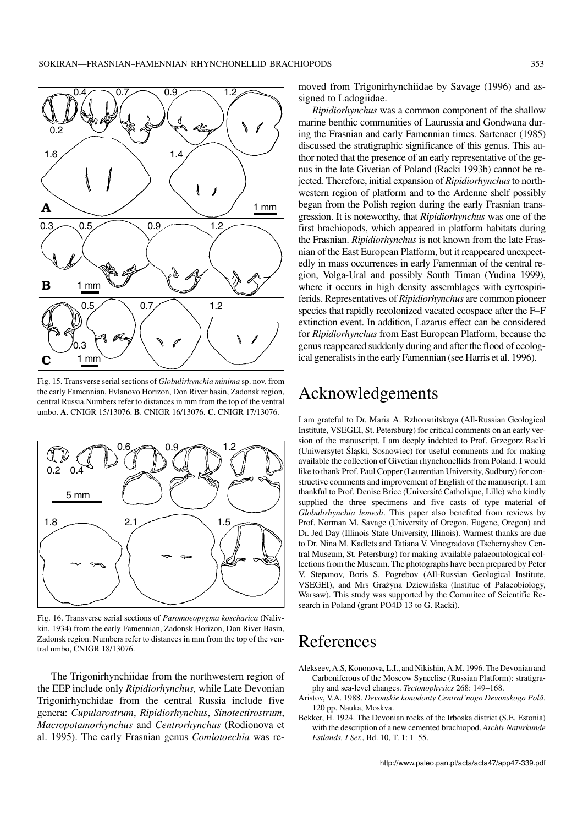

Fig. 15. Transverse serial sections of *Globulirhynchia minima* sp. nov. from the early Famennian, Evlanovo Horizon, Don River basin, Zadonsk region, central Russia.Numbers refer to distances in mm from the top of the ventral umbo. **A**. CNIGR 15/13076. **B**. CNIGR 16/13076. **C**. CNIGR 17/13076.



Fig. 16. Transverse serial sections of *Paromoeopygma koscharica* (Naliv− kin, 1934) from the early Famennian, Zadonsk Horizon, Don River Basin, Zadonsk region. Numbers refer to distances in mm from the top of the ven− tral umbo, CNIGR 18/13076.

The Trigonirhynchiidae from the northwestern region of the EEP include only *Ripidiorhynchus,* while Late Devonian Trigonirhynchidae from the central Russia include five genera: *Cupularostrum*, *Ripidiorhynchus*, *Sinotectirostrum*, *Macropotamorhynchus* and *Centrorhynchus* (Rodionova et al. 1995). The early Frasnian genus *Comiotoechia* was re−

moved from Trigonirhynchiidae by Savage (1996) and as− signed to Ladogiidae.

*Ripidiorhynchus* was a common component of the shallow marine benthic communities of Laurussia and Gondwana dur− ing the Frasnian and early Famennian times. Sartenaer (1985) discussed the stratigraphic significance of this genus. This au− thor noted that the presence of an early representative of the ge− nus in the late Givetian of Poland (Racki 1993b) cannot be re− jected. Therefore, initial expansion of *Ripidiorhynchus*to north− western region of platform and to the Ardenne shelf possibly began from the Polish region during the early Frasnian trans− gression. It is noteworthy, that *Ripidiorhynchus* was one of the first brachiopods, which appeared in platform habitats during the Frasnian. *Ripidiorhynchus* is not known from the late Fras− nian of the East European Platform, but it reappeared unexpect− edly in mass occurrences in early Famennian of the central re− gion, Volga−Ural and possibly South Timan (Yudina 1999), where it occurs in high density assemblages with cyrtospiri− ferids. Representatives of *Ripidiorhynchus* are common pioneer species that rapidly recolonized vacated ecospace after the F–F extinction event. In addition, Lazarus effect can be considered for *Ripidiorhynchus* from East European Platform, because the genus reappeared suddenly during and after the flood of ecolog− ical generalists in the early Famennian (see Harris et al. 1996).

## Acknowledgements

I am grateful to Dr. Maria A. Rzhonsnitskaya (All−Russian Geological Institute, VSEGEI, St. Petersburg) for critical comments on an early ver− sion of the manuscript. I am deeply indebted to Prof. Grzegorz Racki (Uniwersytet Śląski, Sosnowiec) for useful comments and for making available the collection of Givetian rhynchonellids from Poland. I would like to thank Prof. Paul Copper (Laurentian University, Sudbury) for con− structive comments and improvement of English of the manuscript. I am thankful to Prof. Denise Brice (Université Catholique, Lille) who kindly supplied the three specimens and five casts of type material of *Globulirhynchia lemesli*. This paper also benefited from reviews by Prof. Norman M. Savage (University of Oregon, Eugene, Oregon) and Dr. Jed Day (Illinois State University, Illinois). Warmest thanks are due to Dr. Nina M. Kadlets and Tatiana V. Vinogradova (Tschernyshev Cen− tral Museum, St. Petersburg) for making available palaeontological col− lections from the Museum. The photographs have been prepared by Peter V. Stepanov, Boris S. Pogrebov (All−Russian Geological Institute, VSEGEI), and Mrs Grażyna Dziewińska (Institue of Palaeobiology, Warsaw). This study was supported by the Commitee of Scientific Re− search in Poland (grant PO4D 13 to G. Racki).

## References

- Alekseev, A.S, Kononova, L.I., and Nikishin, A.M. 1996. The Devonian and Carboniferous of the Moscow Syneclise (Russian Platform): stratigra− phy and sea−level changes. *Tectonophysics* 268: 149–168.
- Aristov, V.A. 1988. *Devonskie konodonty Central'nogo Devonskogo Polâ*. 120 pp. Nauka, Moskva.
- Bekker, H. 1924. The Devonian rocks of the Irboska district (S.E. Estonia) with the description of a new cemented brachiopod. *Archiv Naturkunde Estlands, I Ser.*, Bd. 10, T. 1: 1–55.